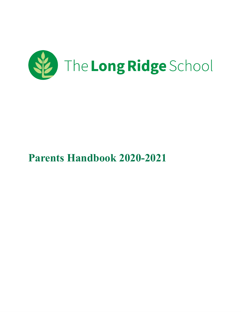

# **Parents Handbook 2020-2021**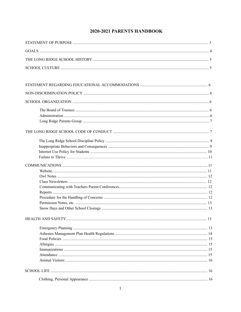# 2020-2021 PARENTS HANDBOOK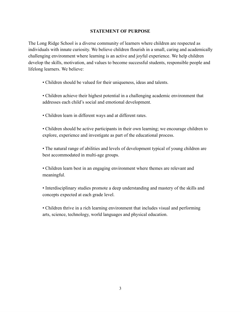## **STATEMENT OF PURPOSE**

The Long Ridge School is a diverse community of learners where children are respected as individuals with innate curiosity. We believe children flourish in a small, caring and academically challenging environment where learning is an active and joyful experience. We help children develop the skills, motivation, and values to become successful students, responsible people and lifelong learners. We believe:

- Children should be valued for their uniqueness, ideas and talents.
- Children achieve their highest potential in a challenging academic environment that addresses each child's social and emotional development.
- Children learn in different ways and at different rates.
- Children should be active participants in their own learning; we encourage children to explore, experience and investigate as part of the educational process.

• The natural range of abilities and levels of development typical of young children are best accommodated in multi-age groups.

• Children learn best in an engaging environment where themes are relevant and meaningful.

• Interdisciplinary studies promote a deep understanding and mastery of the skills and concepts expected at each grade level.

• Children thrive in a rich learning environment that includes visual and performing arts, science, technology, world languages and physical education.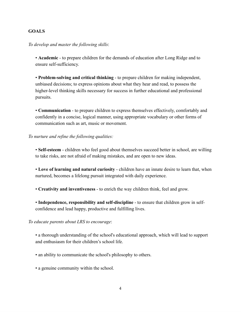## **GOALS**

*To develop and master the following skills*:

• **Academic** - to prepare children for the demands of education after Long Ridge and to ensure self-sufficiency.

• **Problem-solving and critical thinking** - to prepare children for making independent, unbiased decisions; to express opinions about what they hear and read, to possess the higher-level thinking skills necessary for success in further educational and professional pursuits.

• **Communication** - to prepare children to express themselves effectively, comfortably and confidently in a concise, logical manner, using appropriate vocabulary or other forms of communication such as art, music or movement.

*To nurture and refine the following qualities:*

• **Self-esteem** - children who feel good about themselves succeed better in school, are willing to take risks, are not afraid of making mistakes, and are open to new ideas.

• **Love of learning and natural curiosity** - children have an innate desire to learn that, when nurtured, becomes a lifelong pursuit integrated with daily experience.

• **Creativity and inventiveness** - to enrich the way children think, feel and grow.

• **Independence, responsibility and self-discipline** - to ensure that children grow in selfconfidence and lead happy, productive and fulfilling lives.

*To educate parents about LRS to encourage*:

• a thorough understanding of the school's educational approach, which will lead to support and enthusiasm for their children's school life.

- an ability to communicate the school's philosophy to others.
- a genuine community within the school.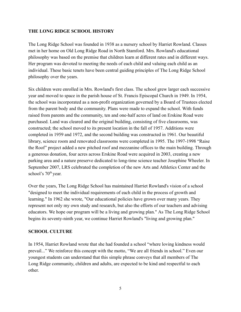## **THE LONG RIDGE SCHOOL HISTORY**

The Long Ridge School was founded in 1938 as a nursery school by Harriet Rowland. Classes met in her home on Old Long Ridge Road in North Stamford. Mrs. Rowland's educational philosophy was based on the premise that children learn at different rates and in different ways. Her program was devoted to meeting the needs of each child and valuing each child as an individual. These basic tenets have been central guiding principles of The Long Ridge School philosophy over the years.

Six children were enrolled in Mrs. Rowland's first class. The school grew larger each successive year and moved to space in the parish house of St. Francis Episcopal Church in 1949. In 1954, the school was incorporated as a non-profit organization governed by a Board of Trustees elected from the parent body and the community. Plans were made to expand the school. With funds raised from parents and the community, ten and one-half acres of land on Erskine Road were purchased. Land was cleared and the original building, consisting of five classrooms, was constructed; the school moved to its present location in the fall of 1957. Additions were completed in 1959 and 1972, and the second building was constructed in 1961. Our beautiful library, science room and renovated classrooms were completed in 1995. The 1997-1998 "Raise the Roof" project added a new pitched roof and mezzanine offices to the main building. Through a generous donation, four acres across Erskine Road were acquired in 2003, creating a new parking area and a nature preserve dedicated to long-time science teacher Josephine Wheeler. In September 2007, LRS celebrated the completion of the new Arts and Athletics Center and the school's 70<sup>th</sup> year.

Over the years, The Long Ridge School has maintained Harriet Rowland's vision of a school "designed to meet the individual requirements of each child in the process of growth and learning." In 1962 she wrote, "Our educational policies have grown over many years. They represent not only my own study and research, but also the efforts of our teachers and advising educators. We hope our program will be a living and growing plan." As The Long Ridge School begins its seventy-ninth year, we continue Harriet Rowland's "living and growing plan."

# **SCHOOL CULTURE**

In 1954, Harriet Rowland wrote that she had founded a school "where loving kindness would prevail..." We reinforce this concept with the motto, "We are all friends in school." Even our youngest students can understand that this simple phrase conveys that all members of The Long Ridge community, children and adults, are expected to be kind and respectful to each other.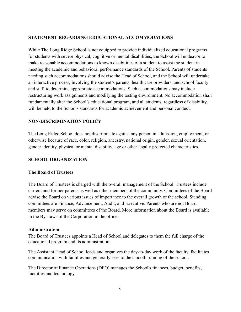# **STATEMENT REGARDING EDUCATIONAL ACCOMMODATIONS**

While The Long Ridge School is not equipped to provide individualized educational programs for students with severe physical, cognitive or mental disabilities, the School will endeavor to make reasonable accommodations to known disabilities of a student to assist the student in meeting the academic and behavioral performance standards of the School. Parents of students needing such accommodations should advise the Head of School, and the School will undertake an interactive process, involving the student's parents, health care providers, and school faculty and staff to determine appropriate accommodations. Such accommodations may include restructuring work assignments and modifying the testing environment. No accommodation shall fundamentally alter the School's educational program, and all students, regardless of disability, will be held to the Schools standards for academic achievement and personal conduct.

# **NON-DISCRIMINATION POLICY**

The Long Ridge School does not discriminate against any person in admission, employment, or otherwise because of race, color, religion, ancestry, national origin, gender, sexual orientation, gender identity, physical or mental disability, age or other legally protected characteristics.

# **SCHOOL ORGANIZATION**

#### **The Board of Trustees**

The Board of Trustees is charged with the overall management of the School. Trustees include current and former parents as well as other members of the community. Committees of the Board advise the Board on various issues of importance to the overall growth of the school. Standing committees are Finance, Advancement, Audit, and Executive. Parents who are not Board members may serve on committees of the Board. More information about the Board is available in the By-Laws of the Corporation in the office.

#### **Administration**

The Board of Trustees appoints a Head of School,and delegates to them the full charge of the educational program and its administration.

The Assistant Head of School leads and organizes the day-to-day work of the faculty, facilitates communication with families and generally sees to the smooth running of the school.

The Director of Finance Operations (DFO) manages the School's finances, budget, benefits, facilities and technology.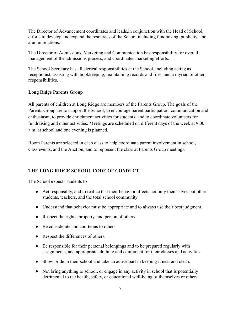The Director of Advancement coordinates and leads,in conjunction with the Head of School, efforts to develop and expand the resources of the School including fundraising, publicity, and alumni relations.

The Director of Admissions, Marketing and Communication has responsibility for overall management of the admissions process, and coordinates marketing efforts.

The School Secretary has all clerical responsibilities at the School, including acting as receptionist, assisting with bookkeeping, maintaining records and files, and a myriad of other responsibilities.

# **Long Ridge Parents Group**

All parents of children at Long Ridge are members of the Parents Group. The goals of the Parents Group are to support the School, to encourage parent participation, communication and enthusiasm, to provide enrichment activities for students, and to coordinate volunteers for fundraising and other activities. Meetings are scheduled on different days of the week at 9:00 a.m. at school and one evening is planned.

Room Parents are selected in each class to help coordinate parent involvement in school, class events, and the Auction, and to represent the class at Parents Group meetings.

# **THE LONG RIDGE SCHOOL CODE OF CONDUCT**

The School expects students to

- Act responsibly, and to realize that their behavior affects not only themselves but other students, teachers, and the total school community.
- Understand that behavior must be appropriate and to always use their best judgment.
- Respect the rights, property, and person of others.
- Be considerate and courteous to others.
- Respect the differences of others.
- Be responsible for their personal belongings and to be prepared regularly with assignments, and appropriate clothing and equipment for their classes and activities.
- Show pride in their school and take an active part in keeping it neat and clean.
- Not bring anything to school, or engage in any activity in school that is potentially detrimental to the health, safety, or educational well-being of themselves or others.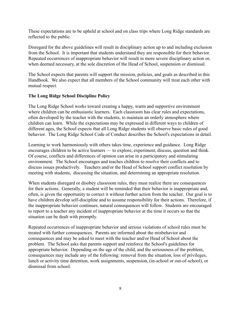These expectations are to be upheld at school and on class trips where Long Ridge standards are reflected to the public.

Disregard for the above guidelines will result in disciplinary action up to and including exclusion from the School. It is important that students understand they are responsible for their behavior. Repeated occurrences of inappropriate behavior will result in more severe disciplinary action or, when deemed necessary, at the sole discretion of the Head of School, suspension or dismissal.

The School expects that parents will support the mission, policies, and goals as described in this Handbook. We also expect that all members of the School community will treat each other with mutual respect.

## **The Long Ridge School Discipline Policy**

The Long Ridge School works toward creating a happy, warm and supportive environment where children can be enthusiastic learners. Each classroom has clear rules and expectations, often developed by the teacher with the students, to maintain an orderly atmosphere where children can learn. While the expectations may be expressed in different ways to children of different ages, the School expects that all Long Ridge students will observe basic rules of good behavior. The Long Ridge School Code of Conduct describes the School's expectations in detail.

Learning to work harmoniously with others takes time, experience and guidance. Long Ridge encourages children to be active learners — to explore, experiment, discuss, question and think. Of course, conflicts and differences of opinion can arise in a participatory and stimulating environment. The School encourages and teaches children to resolve their conflicts and to discuss issues productively. Teachers and/or the Head of School support conflict resolution by meeting with students, discussing the situation, and determining an appropriate resolution.

When students disregard or disobey classroom rules, they must realize there are consequences for their actions. Generally, a student will be reminded that their behavior is inappropriate and, often, is given the opportunity to correct it without further action from the teacher. Our goal is to have children develop self-discipline and to assume responsibility for their actions. Therefore, if the inappropriate behavior continues, natural consequences will follow. Students are encouraged to report to a teacher any incident of inappropriate behavior at the time it occurs so that the situation can be dealt with promptly.

Repeated occurrences of inappropriate behavior and serious violations of school rules must be treated with further consequences. Parents are informed about the misbehavior and consequences and may be asked to meet with the teacher and/or Head of School about the problem. The School asks that parents support and reinforce the School's guidelines for appropriate behavior. Depending on the age of the child, and the seriousness of the problem, consequences may include any of the following: removal from the situation, loss of privileges, lunch or activity time detention, work assignments, suspension, (in-school or out-of-school), or dismissal from school.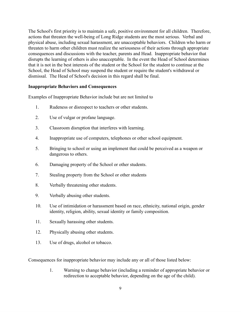The School's first priority is to maintain a safe, positive environment for all children. Therefore, actions that threaten the well-being of Long Ridge students are the most serious. Verbal and physical abuse, including sexual harassment, are unacceptable behaviors. Children who harm or threaten to harm other children must realize the seriousness of their actions through appropriate consequences and discussions with the teacher, parents and Head. Inappropriate behavior that disrupts the learning of others is also unacceptable. In the event the Head of School determines that it is not in the best interests of the student or the School for the student to continue at the School, the Head of School may suspend the student or require the student's withdrawal or dismissal. The Head of School's decision in this regard shall be final.

#### **Inappropriate Behaviors and Consequences**

Examples of Inappropriate Behavior include but are not limited to

- 1. Rudeness or disrespect to teachers or other students.
- 2. Use of vulgar or profane language.
- 3. Classroom disruption that interferes with learning.
- 4. Inappropriate use of computers, telephones or other school equipment.
- 5. Bringing to school or using an implement that could be perceived as a weapon or dangerous to others.
- 6. Damaging property of the School or other students.
- 7. Stealing property from the School or other students
- 8. Verbally threatening other students.
- 9. Verbally abusing other students.
- 10. Use of intimidation or harassment based on race, ethnicity, national origin, gender identity, religion, ability, sexual identity or family composition.
- 11. Sexually harassing other students.
- 12. Physically abusing other students.
- 13. Use of drugs, alcohol or tobacco.

Consequences for inappropriate behavior may include any or all of those listed below:

1. Warning to change behavior (including a reminder of appropriate behavior or redirection to acceptable behavior, depending on the age of the child).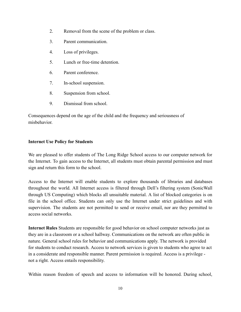- 2. Removal from the scene of the problem or class.
- 3. Parent communication.
- 4. Loss of privileges.
- 5. Lunch or free-time detention.
- 6. Parent conference.
- 7. In-school suspension.
- 8. Suspension from school.
- 9. Dismissal from school.

Consequences depend on the age of the child and the frequency and seriousness of misbehavior.

#### **Internet Use Policy for Students**

We are pleased to offer students of The Long Ridge School access to our computer network for the Internet. To gain access to the Internet, all students must obtain parental permission and must sign and return this form to the school.

Access to the Internet will enable students to explore thousands of libraries and databases throughout the world. All Internet access is filtered through Dell's filtering system (SonicWall through US Computing) which blocks all unsuitable material. A list of blocked categories is on file in the school office. Students can only use the Internet under strict guidelines and with supervision. The students are not permitted to send or receive email, nor are they permitted to access social networks.

**Internet Rules** Students are responsible for good behavior on school computer networks just as they are in a classroom or a school hallway. Communications on the network are often public in nature. General school rules for behavior and communications apply. The network is provided for students to conduct research. Access to network services is given to students who agree to act in a considerate and responsible manner. Parent permission is required. Access is a privilege not a right. Access entails responsibility.

Within reason freedom of speech and access to information will be honored. During school,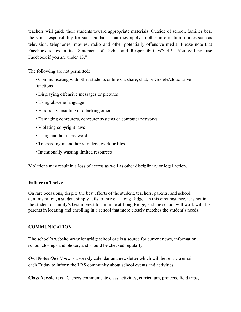teachers will guide their students toward appropriate materials. Outside of school, families bear the same responsibility for such guidance that they apply to other information sources such as television, telephones, movies, radio and other potentially offensive media. Please note that Facebook states in its "Statement of Rights and Responsibilities": 4.5 "You will not use Facebook if you are under 13."

The following are not permitted:

- Communicating with other students online via share, chat, or Google/cloud drive functions
- Displaying offensive messages or pictures
- Using obscene language
- Harassing, insulting or attacking others
- Damaging computers, computer systems or computer networks
- Violating copyright laws
- Using another's password
- Trespassing in another's folders, work or files
- Intentionally wasting limited resources

Violations may result in a loss of access as well as other disciplinary or legal action.

#### **Failure to Thrive**

On rare occasions, despite the best efforts of the student, teachers, parents, and school administration, a student simply fails to thrive at Long Ridge. In this circumstance, it is not in the student or family's best interest to continue at Long Ridge, and the school will work with the parents in locating and enrolling in a school that more closely matches the student's needs.

#### **COMMUNICATION**

**The** school's website www.longridgeschool.org is a source for current news, information, school closings and photos, and should be checked regularly.

**Owl Notes** *Owl Notes* is a weekly calendar and newsletter which will be sent via email each Friday to inform the LRS community about school events and activities.

**Class Newsletters** Teachers communicate class activities, curriculum, projects, field trips,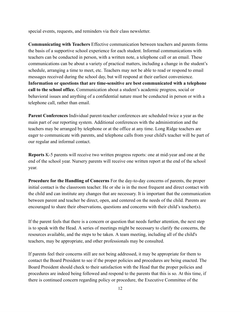special events, requests, and reminders via their class newsletter.

**Communicating with Teachers** Effective communication between teachers and parents forms the basis of a supportive school experience for each student. Informal communications with teachers can be conducted in person, with a written note, a telephone call or an email. These communications can be about a variety of practical matters, including a change in the student's schedule, arranging a time to meet, etc. Teachers may not be able to read or respond to email messages received during the school day, but will respond at their earliest convenience. **Information or questions that are time-sensitive are best communicated with a telephone call to the school office.** Communication about a student's academic progress, social or behavioral issues and anything of a confidential nature must be conducted in person or with a telephone call, rather than email.

**Parent Conferences** Individual parent-teacher conferences are scheduled twice a year as the main part of our reporting system. Additional conferences with the administration and the teachers may be arranged by telephone or at the office at any time. Long Ridge teachers are eager to communicate with parents, and telephone calls from your child's teacher will be part of our regular and informal contact.

**Reports** K-5 parents will receive two written progress reports: one at mid-year and one at the end of the school year. Nursery parents will receive one written report at the end of the school year.

**Procedure for the Handling of Concerns** For the day-to-day concerns of parents, the proper initial contact is the classroom teacher. He or she is in the most frequent and direct contact with the child and can institute any changes that are necessary. It is important that the communication between parent and teacher be direct, open, and centered on the needs of the child. Parents are encouraged to share their observations, questions and concerns with their child's teacher(s).

If the parent feels that there is a concern or question that needs further attention, the next step is to speak with the Head. A series of meetings might be necessary to clarify the concerns, the resources available, and the steps to be taken. A team meeting, including all of the child's teachers, may be appropriate, and other professionals may be consulted.

If parents feel their concerns still are not being addressed, it may be appropriate for them to contact the Board President to see if the proper policies and procedures are being enacted. The Board President should check to their satisfaction with the Head that the proper policies and procedures are indeed being followed and respond to the parents that this is so. At this time, if there is continued concern regarding policy or procedure, the Executive Committee of the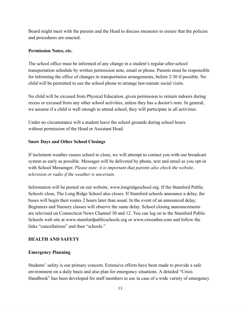Board might meet with the parents and the Head to discuss measures to ensure that the policies and procedures are enacted.

## **Permission Notes, etc.**

The school office must be informed of any change in a student's regular after-school transportation schedule by written permission note, email or phone. Parents must be responsible for informing the office of changes in transportation arrangements, before 2:30 if possible. No child will be permitted to use the school phone to arrange last-minute social visits.

No child will be excused from Physical Education, given permission to remain indoors during recess or excused from any other school activities, unless they has a doctor's note. In general, we assume if a child is well enough to attend school, they will participate in all activities.

Under no circumstance will a student leave the school grounds during school hours without permission of the Head or Assistant Head.

# **Snow Days and Other School Closings**

If inclement weather causes school to close, we will attempt to contact you with our broadcast system as early as possible. Messages will be delivered by phone, text and email as you opt-in with School Messenger. *Please note: it is important that parents also check the website, television or radio if the weather is uncertain.*

Information will be posted on our website, www.longridgeschool.org. If the Stamford Public Schools close, The Long Ridge School also closes. If Stamford schools announce a delay, the buses will begin their routes 2 hours later than usual. In the event of an announced delay, Beginners and Nursery classes will observe the same delay. School closing announcements are televised on Connecticut News Channel 30 and 12. You can log on to the Stamford Public Schools web site at www.stamfordpublicschools.org or www.ctweather.com and follow the links "cancellations" and then "schools."

# **HEALTH AND SAFETY**

#### **Emergency Planning**

Students' safety is our primary concern. Extensive efforts have been made to provide a safe environment on a daily basis and also plan for emergency situations. A detailed "Crisis Handbook" has been developed for staff members to use in case of a wide variety of emergency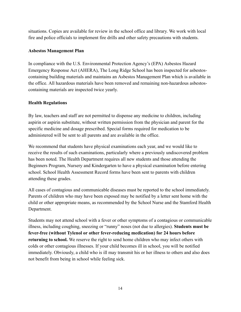situations. Copies are available for review in the school office and library. We work with local fire and police officials to implement fire drills and other safety precautions with students.

# **Asbestos Management Plan**

In compliance with the U.S. Environmental Protection Agency's (EPA) Asbestos Hazard Emergency Response Act (AHERA), The Long Ridge School has been inspected for asbestoscontaining building materials and maintains an Asbestos Management Plan which is available in the office. All hazardous materials have been removed and remaining non-hazardous asbestoscontaining materials are inspected twice yearly.

# **Health Regulations**

By law, teachers and staff are not permitted to dispense any medicine to children, including aspirin or aspirin substitute, without written permission from the physician and parent for the specific medicine and dosage prescribed. Special forms required for medication to be administered will be sent to all parents and are available in the office.

We recommend that students have physical examinations each year, and we would like to receive the results of such examinations, particularly where a previously undiscovered problem has been noted. The Health Department requires all new students and those attending the Beginners Program, Nursery and Kindergarten to have a physical examination before entering school. School Health Assessment Record forms have been sent to parents with children attending these grades.

All cases of contagious and communicable diseases must be reported to the school immediately. Parents of children who may have been exposed may be notified by a letter sent home with the child or other appropriate means, as recommended by the School Nurse and the Stamford Health Department.

Students may not attend school with a fever or other symptoms of a contagious or communicable illness, including coughing, sneezing or "runny" noses (not due to allergies). **Students must be fever-free (without Tylenol or other fever-reducing medication) for 24 hours before returning to school.** We reserve the right to send home children who may infect others with colds or other contagious illnesses. If your child becomes ill in school, you will be notified immediately. Obviously, a child who is ill may transmit his or her illness to others and also does not benefit from being in school while feeling sick.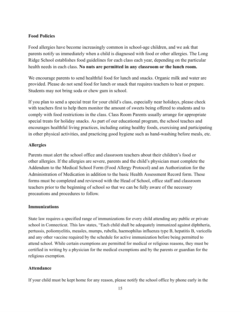## **Food Policies**

Food allergies have become increasingly common in school-age children, and we ask that parents notify us immediately when a child is diagnosed with food or other allergies. The Long Ridge School establishes food guidelines for each class each year, depending on the particular health needs in each class. **No nuts are permitted in any classroom or the lunch room.**

We encourage parents to send healthful food for lunch and snacks. Organic milk and water are provided. Please do not send food for lunch or snack that requires teachers to heat or prepare. Students may not bring soda or chew gum in school.

If you plan to send a special treat for your child's class, especially near holidays, please check with teachers first to help them monitor the amount of sweets being offered to students and to comply with food restrictions in the class. Class Room Parents usually arrange for appropriate special treats for holiday snacks. As part of our educational program, the school teaches and encourages healthful living practices, including eating healthy foods, exercising and participating in other physical activities, and practicing good hygiene such as hand-washing before meals, etc.

## **Allergies**

Parents must alert the school office and classroom teachers about their children's food or other allergies. If the allergies are severe, parents and the child's physician must complete the Addendum to the Medical School Form (Food Allergy Protocol) and an Authorization for the Administration of Medication in addition to the basic Health Assessment Record form. These forms must be completed and reviewed with the Head of School, office staff and classroom teachers prior to the beginning of school so that we can be fully aware of the necessary precautions and procedures to follow.

#### **Immunizations**

State law requires a specified range of immunizations for every child attending any public or private school in Connecticut. This law states, "Each child shall be adequately immunized against diphtheria, pertussis, poliomyelitis, measles, mumps, rubella, haemophilus influenza type B, hepatitis B, varicella and any other vaccine required by the schedule for active immunization before being permitted to attend school. While certain exemptions are permitted for medical or religious reasons, they must be certified in writing by a physician for the medical exemptions and by the parents or guardian for the religious exemption.

#### **Attendance**

If your child must be kept home for any reason, please notify the school office by phone early in the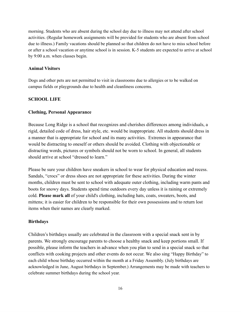morning. Students who are absent during the school day due to illness may not attend after school activities. (Regular homework assignments will be provided for students who are absent from school due to illness.) Family vacations should be planned so that children do not have to miss school before or after a school vacation or anytime school is in session. K-5 students are expected to arrive at school by 9:00 a.m. when classes begin.

#### **Animal Visitors**

Dogs and other pets are not permitted to visit in classrooms due to allergies or to be walked on campus fields or playgrounds due to health and cleanliness concerns.

#### **SCHOOL LIFE**

#### **Clothing, Personal Appearance**

Because Long Ridge is a school that recognizes and cherishes differences among individuals, a rigid, detailed code of dress, hair style, etc. would be inappropriate. All students should dress in a manner that is appropriate for school and its many activities. Extremes in appearance that would be distracting to oneself or others should be avoided. Clothing with objectionable or distracting words, pictures or symbols should not be worn to school. In general, all students should arrive at school "dressed to learn."

Please be sure your children have sneakers in school to wear for physical education and recess. Sandals, "crocs" or dress shoes are not appropriate for these activities. During the winter months, children must be sent to school with adequate outer clothing, including warm pants and boots for snowy days. Students spend time outdoors every day unless it is raining or extremely cold. **Please mark all** of your child's clothing, including hats, coats, sweaters, boots, and mittens; it is easier for children to be responsible for their own possessions and to return lost items when their names are clearly marked.

#### **Birthdays**

Children's birthdays usually are celebrated in the classroom with a special snack sent in by parents. We strongly encourage parents to choose a healthy snack and keep portions small. If possible, please inform the teachers in advance when you plan to send in a special snack so that conflicts with cooking projects and other events do not occur. We also sing "Happy Birthday" to each child whose birthday occurred within the month at a Friday Assembly. (July birthdays are acknowledged in June, August birthdays in September.) Arrangements may be made with teachers to celebrate summer birthdays during the school year.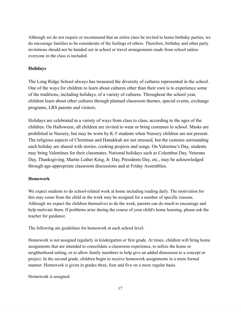Although we do not require or recommend that an entire class be invited to home birthday parties, we do encourage families to be considerate of the feelings of others. Therefore, birthday and other party invitations should not be handed out in school or travel arrangements made from school unless everyone in the class is included.

## **Holidays**

The Long Ridge School always has treasured the diversity of cultures represented in the school. One of the ways for children to learn about cultures other than their own is to experience some of the traditions, including holidays, of a variety of cultures. Throughout the school year, children learn about other cultures through planned classroom themes, special events, exchange programs, LRS parents and visitors.

Holidays are celebrated in a variety of ways from class to class, according to the ages of the children. On Halloween, all children are invited to wear or bring costumes to school. Masks are prohibited in Nursery, but may be worn by K-5 students when Nursery children are not present. The religious aspects of Christmas and Hanukkah are not stressed, but the customs surrounding each holiday are shared with stories, cooking projects and songs. On Valentine's Day, students may bring Valentines for their classmates. National holidays such as Columbus Day, Veterans Day, Thanksgiving, Martin Luther King, Jr. Day, Presidents Day, etc., may be acknowledged through age-appropriate classroom discussions and at Friday Assemblies.

#### **Homework**

We expect students to do school-related work at home including reading daily. The motivation for this may come from the child or the work may be assigned for a number of specific reasons. Although we expect the children themselves to do the work, parents can do much to encourage and help motivate them. If problems arise during the course of your child's home learning, please ask the teacher for guidance.

The following are guidelines for homework at each school level:

Homework is not assigned regularly in kindergarten or first grade. At times, children will bring home assignments that are intended to consolidate a classroom experience, to utilize the home or neighborhood setting, or to allow family members to help give an added dimension to a concept or project. In the second grade, children begin to receive homework assignments in a more formal manner. Homework is given in grades three, four and five on a more regular basis.

Homework is assigned: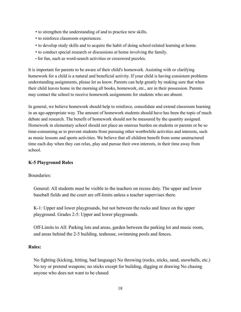- to strengthen the understanding of and to practice new skills.
- to reinforce classroom experiences.
- to develop study skills and to acquire the habit of doing school-related learning at home.
- to conduct special research or discussions at home involving the family.
- for fun, such as word-search activities or crossword puzzles.

It is important for parents to be aware of their child's homework. Assisting with or clarifying homework for a child is a natural and beneficial activity. If your child is having consistent problems understanding assignments, please let us know. Parents can help greatly by making sure that when their child leaves home in the morning all books, homework, etc., are in their possession. Parents may contact the school to receive homework assignments for students who are absent.

In general, we believe homework should help to reinforce, consolidate and extend classroom learning in an age-appropriate way. The amount of homework students should have has been the topic of much debate and research. The benefit of homework should not be measured by the quantity assigned. Homework in elementary school should not place an onerous burden on students or parents or be so time-consuming as to prevent students from pursuing other worthwhile activities and interests, such as music lessons and sports activities. We believe that all children benefit from some unstructured time each day when they can relax, play and pursue their own interests, in their time away from school.

#### **K-5 Playground Rules**

#### Boundaries:

General: All students must be visible to the teachers on recess duty. The upper and lower baseball fields and the court are off-limits unless a teacher supervises there.

K-1: Upper and lower playgrounds, but not between the rocks and fence on the upper playground. Grades 2-5: Upper and lower playgrounds.

Off-Limits to All: Parking lots and areas, garden between the parking lot and music room, and areas behind the 2-5 building, teahouse, swimming pools and fences.

#### **Rules:**

No fighting (kicking, hitting, bad language) No throwing (rocks, sticks, sand, snowballs, etc.) No toy or pretend weapons; no sticks except for building, digging or drawing No chasing anyone who does not want to be chased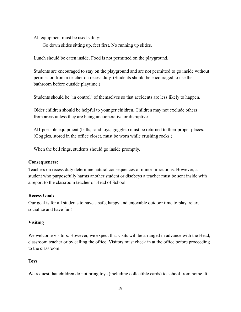All equipment must be used safely:

Go down slides sitting up, feet first. No running up slides.

Lunch should be eaten inside. Food is not permitted on the playground.

Students are encouraged to stay on the playground and are not permitted to go inside without permission from a teacher on recess duty. (Students should be encouraged to use the bathroom before outside playtime.)

Students should be "in control" of themselves so that accidents are less likely to happen.

Older children should be helpful to younger children. Children may not exclude others from areas unless they are being uncooperative or disruptive.

Al1 portable equipment (balls, sand toys, goggles) must be returned to their proper places. (Goggles, stored in the office closet, must be worn while crushing rocks.)

When the bell rings, students should go inside promptly.

#### **Consequences:**

Teachers on recess duty determine natural consequences of minor infractions. However, a student who purposefully harms another student or disobeys a teacher must be sent inside with a report to the classroom teacher or Head of School.

#### **Recess Goal:**

Our goal is for all students to have a safe, happy and enjoyable outdoor time to play, relax, socialize and have fun!

# **Visiting**

We welcome visitors. However, we expect that visits will be arranged in advance with the Head, classroom teacher or by calling the office. Visitors must check in at the office before proceeding to the classroom.

# **Toys**

We request that children do not bring toys (including collectible cards) to school from home. It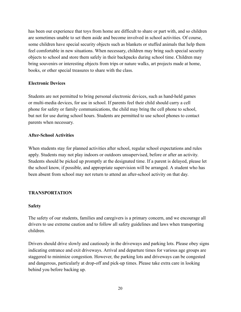has been our experience that toys from home are difficult to share or part with, and so children are sometimes unable to set them aside and become involved in school activities. Of course, some children have special security objects such as blankets or stuffed animals that help them feel comfortable in new situations. When necessary, children may bring such special security objects to school and store them safely in their backpacks during school time. Children may bring souvenirs or interesting objects from trips or nature walks, art projects made at home, books, or other special treasures to share with the class.

## **Electronic Devices**

Students are not permitted to bring personal electronic devices, such as hand-held games or multi-media devices, for use in school. If parents feel their child should carry a cell phone for safety or family communications, the child may bring the cell phone to school, but not for use during school hours. Students are permitted to use school phones to contact parents when necessary.

## **After-School Activities**

When students stay for planned activities after school, regular school expectations and rules apply. Students may not play indoors or outdoors unsupervised, before or after an activity. Students should be picked up promptly at the designated time. If a parent is delayed, please let the school know, if possible, and appropriate supervision will be arranged. A student who has been absent from school may not return to attend an after-school activity on that day.

# **TRANSPORTATION**

#### **Safety**

The safety of our students, families and caregivers is a primary concern, and we encourage all drivers to use extreme caution and to follow all safety guidelines and laws when transporting children.

Drivers should drive slowly and cautiously in the driveways and parking lots. Please obey signs indicating entrance and exit driveways. Arrival and departure times for various age groups are staggered to minimize congestion. However, the parking lots and driveways can be congested and dangerous, particularly at drop-off and pick-up times. Please take extra care in looking behind you before backing up.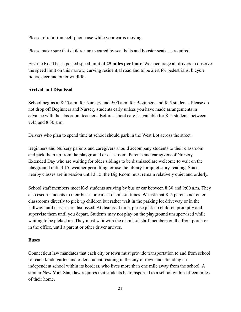Please refrain from cell-phone use while your car is moving.

Please make sure that children are secured by seat belts and booster seats, as required.

Erskine Road has a posted speed limit of **25 miles per hour**. We encourage all drivers to observe the speed limit on this narrow, curving residential road and to be alert for pedestrians, bicycle riders, deer and other wildlife.

# **Arrival and Dismissal**

School begins at 8:45 a.m. for Nursery and 9:00 a.m. for Beginners and K-5 students. Please do not drop off Beginners and Nursery students early unless you have made arrangements in advance with the classroom teachers. Before school care is available for K-5 students between 7:45 and 8:30 a.m.

Drivers who plan to spend time at school should park in the West Lot across the street.

Beginners and Nursery parents and caregivers should accompany students to their classroom and pick them up from the playground or classroom. Parents and caregivers of Nursery Extended Day who are waiting for older siblings to be dismissed are welcome to wait on the playground until 3:15, weather permitting, or use the library for quiet story-reading. Since nearby classes are in session until 3:15, the Big Room must remain relatively quiet and orderly.

School staff members meet K-5 students arriving by bus or car between 8:30 and 9:00 a.m. They also escort students to their buses or cars at dismissal times. We ask that K-5 parents not enter classrooms directly to pick up children but rather wait in the parking lot driveway or in the hallway until classes are dismissed. At dismissal time, please pick up children promptly and supervise them until you depart. Students may not play on the playground unsupervised while waiting to be picked up. They must wait with the dismissal staff members on the front porch or in the office, until a parent or other driver arrives.

#### **Buses**

Connecticut law mandates that each city or town must provide transportation to and from school for each kindergarten and older student residing in the city or town and attending an independent school within its borders, who lives more than one mile away from the school. A similar New York State law requires that students be transported to a school within fifteen miles of their home.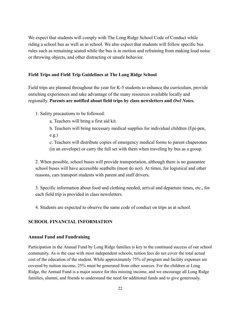We expect that students will comply with The Long Ridge School Code of Conduct while riding a school bus as well as in school. We also expect that students will follow specific bus rules such as remaining seated while the bus is in motion and refraining from making loud noise or throwing objects, and other distracting or unsafe behavior.

#### **Field Trips and Field Trip Guidelines at The Long Ridge School**

Field trips are planned throughout the year for K-5 students to enhance the curriculum, provide enriching experiences and take advantage of the many resources available locally and regionally. **Parents are notified about field trips by class newsletters and** *Owl Notes.*

- 1. Safety precautions to be followed:
	- a. Teachers will bring a first aid kit.
	- b. Teachers will bring necessary medical supplies for individual children (Epi-pen, e.g.)

c. Teachers will distribute copies of emergency medical forms to parent chaperones (in an envelope) or carry the full set with them when traveling by bus as a group.

2. When possible, school buses will provide transportation, although there is no guarantee school buses will have accessible seatbelts (most do not). At times, for logistical and other reasons, cars transport students with parent and staff drivers.

3. Specific information about food and clothing needed, arrival and departure times, etc., for each field trip is provided in class newsletters.

4. Students are expected to observe the same code of conduct on trips as at school.

#### **SCHOOL FINANCIAL INFORMATION**

#### **Annual Fund and Fundraising**

Participation in the Annual Fund by Long Ridge families is key to the continued success of our school community. As is the case with most independent schools, tuition fees do not cover the total actual cost of the education of the student. While approximately 75% of program and facility expenses are covered by tuition income, 25% must be generated from other sources. For the children at Long Ridge, the Annual Fund is a major source for this missing income, and we encourage all Long Ridge families, alumni, and friends to understand the need for additional funds and to give generously.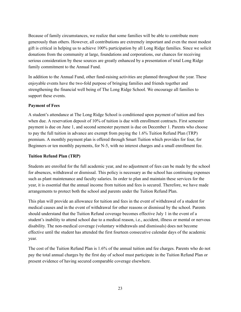Because of family circumstances, we realize that some families will be able to contribute more generously than others. However, all contributions are extremely important and even the most modest gift is critical in helping us to achieve 100% participation by all Long Ridge families. Since we solicit donations from the community at large, foundations and corporations, our chances for receiving serious consideration by these sources are greatly enhanced by a presentation of total Long Ridge family commitment to the Annual Fund.

In addition to the Annual Fund, other fund-raising activities are planned throughout the year. These enjoyable events have the two-fold purpose of bringing families and friends together and strengthening the financial well being of The Long Ridge School. We encourage all families to support these events.

#### **Payment of Fees**

A student's attendance at The Long Ridge School is conditioned upon payment of tuition and fees when due. A reservation deposit of 10% of tuition is due with enrollment contracts. First semester payment is due on June 1, and second semester payment is due on December 1. Parents who choose to pay the full tuition in advance are exempt from paying the 1.6% Tuition Refund Plan (TRP) premium. A monthly payment plan is offered through Smart Tuition which provides for four, for Beginners or ten monthly payments, for N-5, with no interest charges and a small enrollment fee.

#### **Tuition Refund Plan (TRP)**

Students are enrolled for the full academic year, and no adjustment of fees can be made by the school for absences, withdrawal or dismissal. This policy is necessary as the school has continuing expenses such as plant maintenance and faculty salaries. In order to plan and maintain these services for the year, it is essential that the annual income from tuition and fees is secured. Therefore, we have made arrangements to protect both the school and parents under the Tuition Refund Plan.

This plan will provide an allowance for tuition and fees in the event of withdrawal of a student for medical causes and in the event of withdrawal for other reasons or dismissal by the school. Parents should understand that the Tuition Refund coverage becomes effective July 1 in the event of a student's inability to attend school due to a medical reason, i.e., accident, illness or mental or nervous disability. The non-medical coverage (voluntary withdrawals and dismissals) does not become effective until the student has attended the first fourteen consecutive calendar days of the academic year.

The cost of the Tuition Refund Plan is 1.6% of the annual tuition and fee charges. Parents who do not pay the total annual charges by the first day of school must participate in the Tuition Refund Plan or present evidence of having secured comparable coverage elsewhere.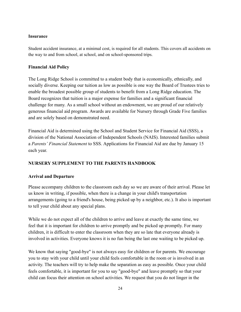#### **Insurance**

Student accident insurance, at a minimal cost, is required for all students. This covers all accidents on the way to and from school, at school, and on school-sponsored trips.

#### **Financial Aid Policy**

The Long Ridge School is committed to a student body that is economically, ethnically, and socially diverse. Keeping our tuition as low as possible is one way the Board of Trustees tries to enable the broadest possible group of students to benefit from a Long Ridge education. The Board recognizes that tuition is a major expense for families and a significant financial challenge for many. As a small school without an endowment, we are proud of our relatively generous financial aid program. Awards are available for Nursery through Grade Five families and are solely based on demonstrated need.

Financial Aid is determined using the School and Student Service for Financial Aid (SSS), a division of the National Association of Independent Schools (NAIS). Interested families submit a *Parents' Financial Statement* to SSS. Applications for Financial Aid are due by January 15 each year.

# **NURSERY SUPPLEMENT TO THE PARENTS HANDBOOK**

# **Arrival and Departure**

Please accompany children to the classroom each day so we are aware of their arrival. Please let us know in writing, if possible, when there is a change in your child's transportation arrangements (going to a friend's house, being picked up by a neighbor, etc.). It also is important to tell your child about any special plans.

While we do not expect all of the children to arrive and leave at exactly the same time, we feel that it is important for children to arrive promptly and be picked up promptly. For many children, it is difficult to enter the classroom when they are so late that everyone already is involved in activities. Everyone knows it is no fun being the last one waiting to be picked up.

We know that saying "good-bye" is not always easy for children or for parents. We encourage you to stay with your child until your child feels comfortable in the room or is involved in an activity. The teachers will try to help make the separation as easy as possible. Once your child feels comfortable, it is important for you to say "good-bye" and leave promptly so that your child can focus their attention on school activities. We request that you do not linger in the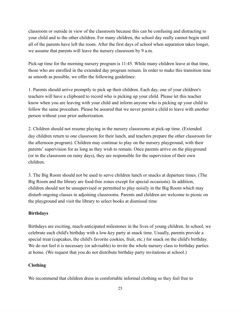classroom or outside in view of the classroom because this can be confusing and distracting to your child and to the other children. For many children, the school day really cannot begin until all of the parents have left the room. After the first days of school when separation takes longer, we assume that parents will leave the nursery classroom by 9 a.m.

Pick-up time for the morning nursery program is 11:45. While many children leave at that time, those who are enrolled in the extended day program remain. In order to make this transition time as smooth as possible, we offer the following guidelines:

1. Parents should arrive promptly to pick up their children. Each day, one of your children's teachers will have a clipboard to record who is picking up your child. Please let this teacher know when you are leaving with your child and inform anyone who is picking up your child to follow the same procedure. Please be assured that we never permit a child to leave with another person without your prior authorization.

2. Children should not resume playing in the nursery classrooms at pick-up time. (Extended day children return to one classroom for their lunch, and teachers prepare the other classroom for the afternoon program). Children may continue to play on the nursery playground, with their parents' supervision for as long as they wish to remain. Once parents arrive on the playground (or in the classroom on rainy days), they are responsible for the supervision of their own children.

3. The Big Room should not be used to serve children lunch or snacks at departure times. (The Big Room and the library are food-free zones except for special occasions). In addition, children should not be unsupervised or permitted to play noisily in the Big Room which may disturb ongoing classes in adjoining classrooms. Parents and children are welcome to picnic on the playground and visit the library to select books at dismissal time

#### **Birthdays**

Birthdays are exciting, much-anticipated milestones in the lives of young children. In school, we celebrate each child's birthday with a low-key party at snack time. Usually, parents provide a special treat (cupcakes, the child's favorite cookies, fruit, etc.) for snack on the child's birthday. We do not feel it is necessary (or advisable) to invite the whole nursery class to birthday parties at home. (We request that you do not distribute birthday party invitations at school.)

#### **Clothing**

We recommend that children dress in comfortable informal clothing so they feel free to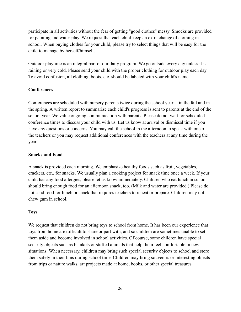participate in all activities without the fear of getting "good clothes" messy. Smocks are provided for painting and water play. We request that each child keep an extra change of clothing in school. When buying clothes for your child, please try to select things that will be easy for the child to manage by herself/himself.

Outdoor playtime is an integral part of our daily program. We go outside every day unless it is raining or very cold. Please send your child with the proper clothing for outdoor play each day. To avoid confusion, all clothing, boots, etc. should be labeled with your child's name.

# **Conferences**

Conferences are scheduled with nursery parents twice during the school year -- in the fall and in the spring. A written report to summarize each child's progress is sent to parents at the end of the school year. We value ongoing communication with parents. Please do not wait for scheduled conference times to discuss your child with us. Let us know at arrival or dismissal time if you have any questions or concerns. You may call the school in the afternoon to speak with one of the teachers or you may request additional conferences with the teachers at any time during the year.

#### **Snacks and Food**

A snack is provided each morning. We emphasize healthy foods such as fruit, vegetables, crackers, etc., for snacks. We usually plan a cooking project for snack time once a week. If your child has any food allergies, please let us know immediately. Children who eat lunch in school should bring enough food for an afternoon snack, too. (Milk and water are provided.) Please do not send food for lunch or snack that requires teachers to reheat or prepare. Children may not chew gum in school.

#### **Toys**

We request that children do not bring toys to school from home. It has been our experience that toys from home are difficult to share or part with, and so children are sometimes unable to set them aside and become involved in school activities. Of course, some children have special security objects such as blankets or stuffed animals that help them feel comfortable in new situations. When necessary, children may bring such special security objects to school and store them safely in their bins during school time. Children may bring souvenirs or interesting objects from trips or nature walks, art projects made at home, books, or other special treasures.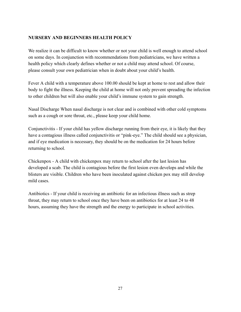# **NURSERY AND BEGINNERS HEALTH POLICY**

We realize it can be difficult to know whether or not your child is well enough to attend school on some days. In conjunction with recommendations from pediatricians, we have written a health policy which clearly defines whether or not a child may attend school. Of course, please consult your own pediatrician when in doubt about your child's health.

Fever A child with a temperature above 100.00 should be kept at home to rest and allow their body to fight the illness. Keeping the child at home will not only prevent spreading the infection to other children but will also enable your child's immune system to gain strength.

Nasal Discharge When nasal discharge is not clear and is combined with other cold symptoms such as a cough or sore throat, etc., please keep your child home.

Conjunctivitis - If your child has yellow discharge running from their eye, it is likely that they have a contagious illness called conjunctivitis or "pink-eye." The child should see a physician, and if eye medication is necessary, they should be on the medication for 24 hours before returning to school.

Chickenpox - A child with chickenpox may return to school after the last lesion has developed a scab. The child is contagious before the first lesion even develops and while the blisters are visible. Children who have been inoculated against chicken pox may still develop mild cases.

Antibiotics - If your child is receiving an antibiotic for an infectious illness such as strep throat, they may return to school once they have been on antibiotics for at least 24 to 48 hours, assuming they have the strength and the energy to participate in school activities.